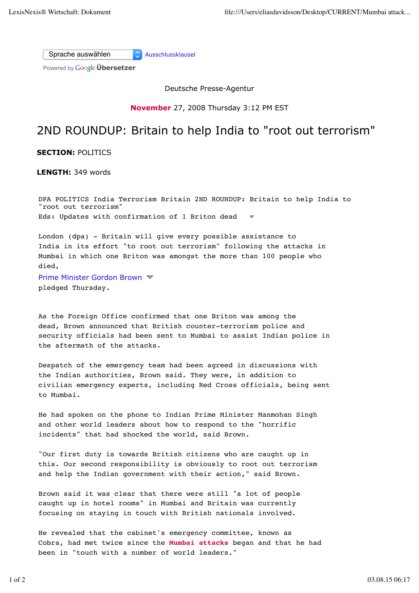Sprache auswählen Ausschlussklausel

Powered by **Google Übersetzer** 

Deutsche Presse-Agentur

**November** 27, 2008 Thursday 3:12 PM EST

## 2ND ROUNDUP: Britain to help India to "root out terrorism"

**SECTION:** POLITICS

**LENGTH:** 349 words

DPA POLITICS India Terrorism Britain 2ND ROUNDUP: Britain to help India to "root out terrorism" Eds: Updates with confirmation of 1 Briton dead

London (dpa) - Britain will give every possible assistance to India in its effort "to root out terrorism" following the attacks in Mumbai in which one Briton was amongst the more than 100 people who died,

pledged Thursday. Prime Minister Gordon Brown

As the Foreign Office confirmed that one Briton was among the dead, Brown announced that British counter-terrorism police and security officials had been sent to Mumbai to assist Indian police in the aftermath of the attacks.

Despatch of the emergency team had been agreed in discussions with the Indian authorities, Brown said. They were, in addition to civilian emergency experts, including Red Cross officials, being sent to Mumbai.

He had spoken on the phone to Indian Prime Minister Manmohan Singh and other world leaders about how to respond to the "horrific incidents" that had shocked the world, said Brown.

"Our first duty is towards British citizens who are caught up in this. Our second responsibility is obviously to root out terrorism and help the Indian government with their action," said Brown.

Brown said it was clear that there were still "a lot of people caught up in hotel rooms" in Mumbai and Britain was currently focusing on staying in touch with British nationals involved.

He revealed that the cabinet's emergency committee, known as Cobra, had met twice since the **Mumbai attacks** began and that he had been in "touch with a number of world leaders."